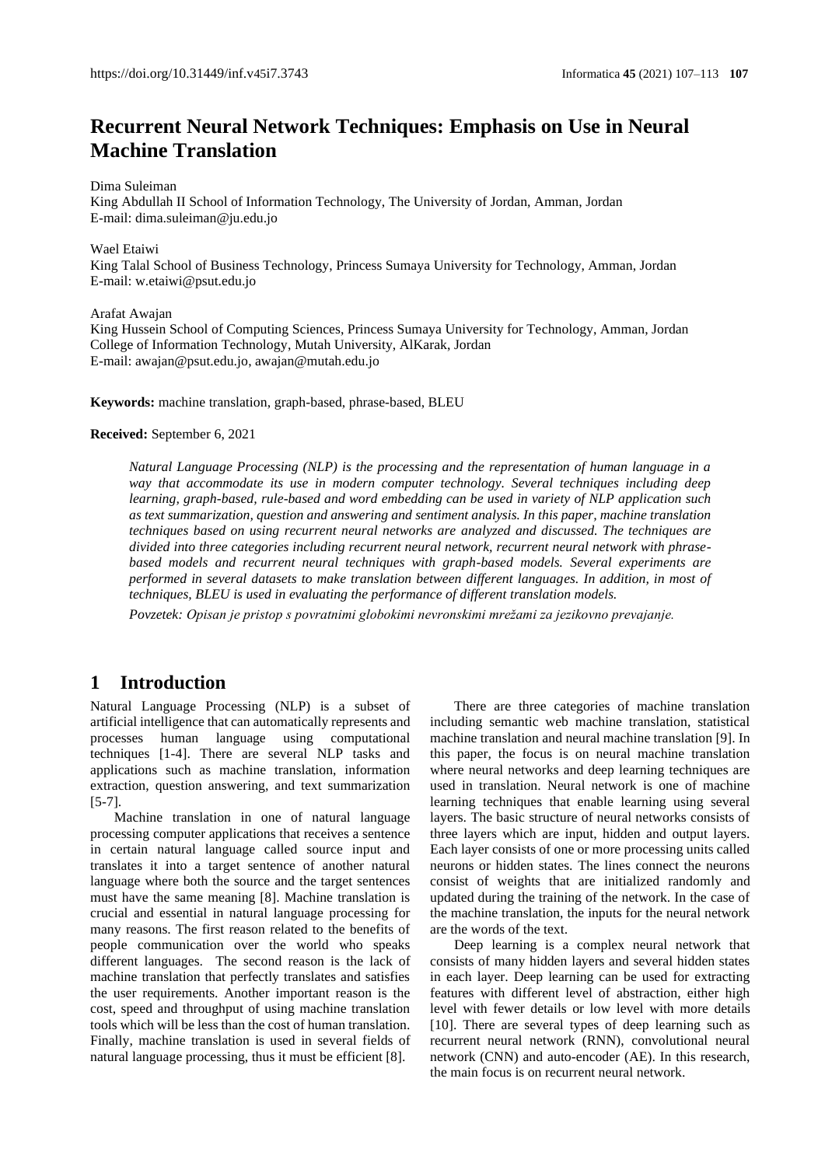# **Recurrent Neural Network Techniques: Emphasis on Use in Neural Machine Translation**

Dima Suleiman

King Abdullah II School of Information Technology, The University of Jordan, Amman, Jordan E-mail: dima.suleiman@ju.edu.jo

Wael Etaiwi

King Talal School of Business Technology, Princess Sumaya University for Technology, Amman, Jordan E-mail: w.etaiwi@psut.edu.jo

Arafat Awajan

King Hussein School of Computing Sciences, Princess Sumaya University for Technology, Amman, Jordan College of Information Technology, Mutah University, AlKarak, Jordan E-mail[: awajan@psut.edu.jo,](mailto:awajan@psut.edu.jo3) awajan@mutah.edu.jo

**Keywords:** machine translation, graph-based, phrase-based, BLEU

#### **Received:** September 6, 2021

*Natural Language Processing (NLP) is the processing and the representation of human language in a way that accommodate its use in modern computer technology. Several techniques including deep learning, graph-based, rule-based and word embedding can be used in variety of NLP application such as text summarization, question and answering and sentiment analysis. In this paper, machine translation techniques based on using recurrent neural networks are analyzed and discussed. The techniques are divided into three categories including recurrent neural network, recurrent neural network with phrasebased models and recurrent neural techniques with graph-based models. Several experiments are performed in several datasets to make translation between different languages. In addition, in most of techniques, BLEU is used in evaluating the performance of different translation models.*

*Povzetek: Opisan je pristop s povratnimi globokimi nevronskimi mrežami za jezikovno prevajanje.*

### **1 Introduction**

Natural Language Processing (NLP) is a subset of artificial intelligence that can automatically represents and processes human language using computational techniques [1-4]. There are several NLP tasks and applications such as machine translation, information extraction, question answering, and text summarization [5-7].

Machine translation in one of natural language processing computer applications that receives a sentence in certain natural language called source input and translates it into a target sentence of another natural language where both the source and the target sentences must have the same meaning [8]. Machine translation is crucial and essential in natural language processing for many reasons. The first reason related to the benefits of people communication over the world who speaks different languages. The second reason is the lack of machine translation that perfectly translates and satisfies the user requirements. Another important reason is the cost, speed and throughput of using machine translation tools which will be less than the cost of human translation. Finally, machine translation is used in several fields of natural language processing, thus it must be efficient [8].

There are three categories of machine translation including semantic web machine translation, statistical machine translation and neural machine translation [9]. In this paper, the focus is on neural machine translation where neural networks and deep learning techniques are used in translation. Neural network is one of machine learning techniques that enable learning using several layers. The basic structure of neural networks consists of three layers which are input, hidden and output layers. Each layer consists of one or more processing units called neurons or hidden states. The lines connect the neurons consist of weights that are initialized randomly and updated during the training of the network. In the case of the machine translation, the inputs for the neural network are the words of the text.

Deep learning is a complex neural network that consists of many hidden layers and several hidden states in each layer. Deep learning can be used for extracting features with different level of abstraction, either high level with fewer details or low level with more details [10]. There are several types of deep learning such as recurrent neural network (RNN), convolutional neural network (CNN) and auto-encoder (AE). In this research, the main focus is on recurrent neural network.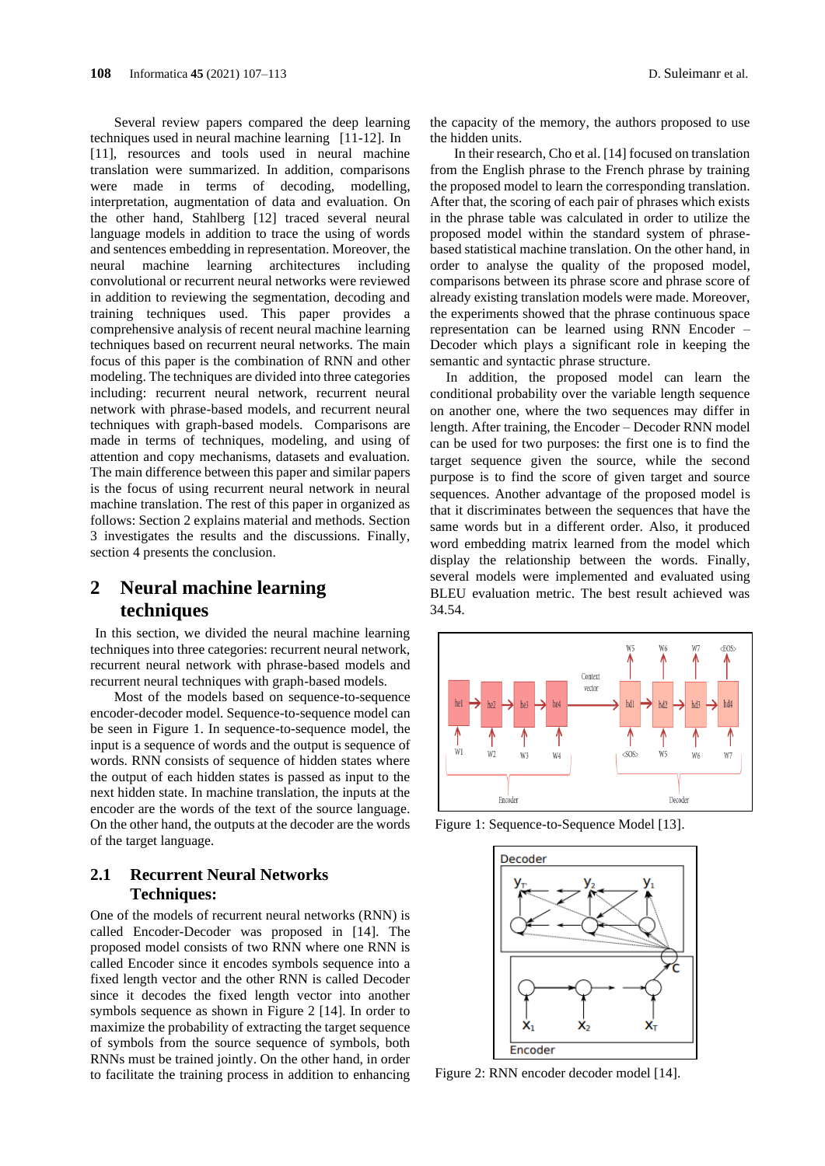Several review papers compared the deep learning techniques used in neural machine learning [11-12]. In [11], resources and tools used in neural machine translation were summarized. In addition, comparisons were made in terms of decoding, modelling, interpretation, augmentation of data and evaluation. On the other hand, Stahlberg [12] traced several neural language models in addition to trace the using of words and sentences embedding in representation. Moreover, the neural machine learning architectures including convolutional or recurrent neural networks were reviewed in addition to reviewing the segmentation, decoding and training techniques used. This paper provides a comprehensive analysis of recent neural machine learning techniques based on recurrent neural networks. The main focus of this paper is the combination of RNN and other modeling. The techniques are divided into three categories including: recurrent neural network, recurrent neural network with phrase-based models, and recurrent neural techniques with graph-based models. Comparisons are made in terms of techniques, modeling, and using of attention and copy mechanisms, datasets and evaluation. The main difference between this paper and similar papers is the focus of using recurrent neural network in neural machine translation. The rest of this paper in organized as follows: Section 2 explains material and methods. Section 3 investigates the results and the discussions. Finally, section 4 presents the conclusion.

### **2 Neural machine learning techniques**

In this section, we divided the neural machine learning techniques into three categories: recurrent neural network, recurrent neural network with phrase-based models and recurrent neural techniques with graph-based models.

Most of the models based on sequence-to-sequence encoder-decoder model. Sequence-to-sequence model can be seen in Figure 1. In sequence-to-sequence model, the input is a sequence of words and the output is sequence of words. RNN consists of sequence of hidden states where the output of each hidden states is passed as input to the next hidden state. In machine translation, the inputs at the encoder are the words of the text of the source language. On the other hand, the outputs at the decoder are the words of the target language.

### **2.1 Recurrent Neural Networks Techniques:**

One of the models of recurrent neural networks (RNN) is called Encoder-Decoder was proposed in [14]. The proposed model consists of two RNN where one RNN is called Encoder since it encodes symbols sequence into a fixed length vector and the other RNN is called Decoder since it decodes the fixed length vector into another symbols sequence as shown in Figure 2 [14]. In order to maximize the probability of extracting the target sequence of symbols from the source sequence of symbols, both RNNs must be trained jointly. On the other hand, in order to facilitate the training process in addition to enhancing

the capacity of the memory, the authors proposed to use the hidden units.

In their research, Cho et al. [14] focused on translation from the English phrase to the French phrase by training the proposed model to learn the corresponding translation. After that, the scoring of each pair of phrases which exists in the phrase table was calculated in order to utilize the proposed model within the standard system of phrasebased statistical machine translation. On the other hand, in order to analyse the quality of the proposed model, comparisons between its phrase score and phrase score of already existing translation models were made. Moreover, the experiments showed that the phrase continuous space representation can be learned using RNN Encoder – Decoder which plays a significant role in keeping the semantic and syntactic phrase structure.

In addition, the proposed model can learn the conditional probability over the variable length sequence on another one, where the two sequences may differ in length. After training, the Encoder – Decoder RNN model can be used for two purposes: the first one is to find the target sequence given the source, while the second purpose is to find the score of given target and source sequences. Another advantage of the proposed model is that it discriminates between the sequences that have the same words but in a different order. Also, it produced word embedding matrix learned from the model which display the relationship between the words. Finally, several models were implemented and evaluated using BLEU evaluation metric. The best result achieved was 34.54.



Figure 1: Sequence-to-Sequence Model [13].



Figure 2: RNN encoder decoder model [14].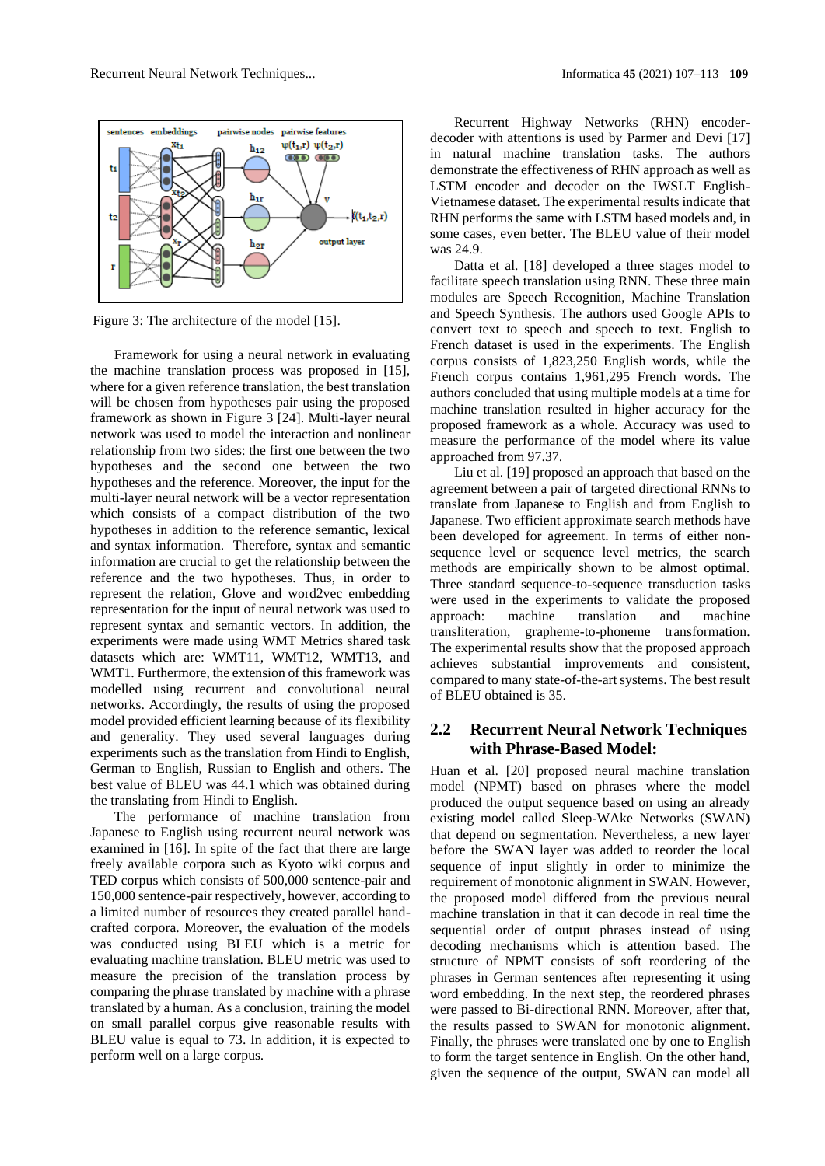

Figure 3: The architecture of the model [15].

Framework for using a neural network in evaluating the machine translation process was proposed in [15], where for a given reference translation, the best translation will be chosen from hypotheses pair using the proposed framework as shown in Figure 3 [24]. Multi-layer neural network was used to model the interaction and nonlinear relationship from two sides: the first one between the two hypotheses and the second one between the two hypotheses and the reference. Moreover, the input for the multi-layer neural network will be a vector representation which consists of a compact distribution of the two hypotheses in addition to the reference semantic, lexical and syntax information. Therefore, syntax and semantic information are crucial to get the relationship between the reference and the two hypotheses. Thus, in order to represent the relation, Glove and word2vec embedding representation for the input of neural network was used to represent syntax and semantic vectors. In addition, the experiments were made using WMT Metrics shared task datasets which are: WMT11, WMT12, WMT13, and WMT1. Furthermore, the extension of this framework was modelled using recurrent and convolutional neural networks. Accordingly, the results of using the proposed model provided efficient learning because of its flexibility and generality. They used several languages during experiments such as the translation from Hindi to English, German to English, Russian to English and others. The best value of BLEU was 44.1 which was obtained during the translating from Hindi to English.

The performance of machine translation from Japanese to English using recurrent neural network was examined in [16]. In spite of the fact that there are large freely available corpora such as Kyoto wiki corpus and TED corpus which consists of 500,000 sentence-pair and 150,000 sentence-pair respectively, however, according to a limited number of resources they created parallel handcrafted corpora. Moreover, the evaluation of the models was conducted using BLEU which is a metric for evaluating machine translation. BLEU metric was used to measure the precision of the translation process by comparing the phrase translated by machine with a phrase translated by a human. As a conclusion, training the model on small parallel corpus give reasonable results with BLEU value is equal to 73. In addition, it is expected to perform well on a large corpus.

Recurrent Highway Networks (RHN) encoderdecoder with attentions is used by Parmer and Devi [17] in natural machine translation tasks. The authors demonstrate the effectiveness of RHN approach as well as LSTM encoder and decoder on the IWSLT English-Vietnamese dataset. The experimental results indicate that RHN performs the same with LSTM based models and, in some cases, even better. The BLEU value of their model was 24.9.

Datta et al. [18] developed a three stages model to facilitate speech translation using RNN. These three main modules are Speech Recognition, Machine Translation and Speech Synthesis. The authors used Google APIs to convert text to speech and speech to text. English to French dataset is used in the experiments. The English corpus consists of 1,823,250 English words, while the French corpus contains 1,961,295 French words. The authors concluded that using multiple models at a time for machine translation resulted in higher accuracy for the proposed framework as a whole. Accuracy was used to measure the performance of the model where its value approached from 97.37.

Liu et al. [19] proposed an approach that based on the agreement between a pair of targeted directional RNNs to translate from Japanese to English and from English to Japanese. Two efficient approximate search methods have been developed for agreement. In terms of either nonsequence level or sequence level metrics, the search methods are empirically shown to be almost optimal. Three standard sequence-to-sequence transduction tasks were used in the experiments to validate the proposed approach: machine translation and machine transliteration, grapheme-to-phoneme transformation. The experimental results show that the proposed approach achieves substantial improvements and consistent, compared to many state-of-the-art systems. The best result of BLEU obtained is 35.

#### **2.2 Recurrent Neural Network Techniques with Phrase-Based Model:**

Huan et al. [20] proposed neural machine translation model (NPMT) based on phrases where the model produced the output sequence based on using an already existing model called Sleep-WAke Networks (SWAN) that depend on segmentation. Nevertheless, a new layer before the SWAN layer was added to reorder the local sequence of input slightly in order to minimize the requirement of monotonic alignment in SWAN. However, the proposed model differed from the previous neural machine translation in that it can decode in real time the sequential order of output phrases instead of using decoding mechanisms which is attention based. The structure of NPMT consists of soft reordering of the phrases in German sentences after representing it using word embedding. In the next step, the reordered phrases were passed to Bi-directional RNN. Moreover, after that, the results passed to SWAN for monotonic alignment. Finally, the phrases were translated one by one to English to form the target sentence in English. On the other hand, given the sequence of the output, SWAN can model all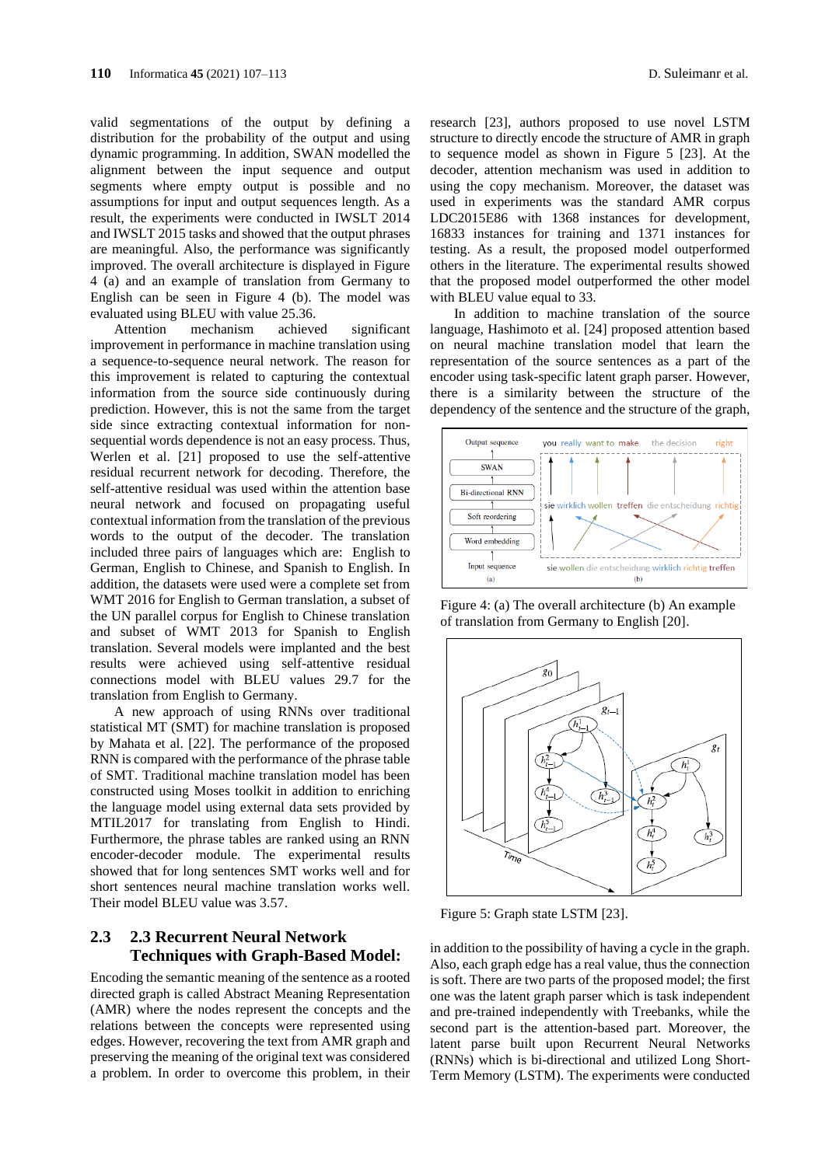valid segmentations of the output by defining a distribution for the probability of the output and using dynamic programming. In addition, SWAN modelled the alignment between the input sequence and output segments where empty output is possible and no assumptions for input and output sequences length. As a result, the experiments were conducted in IWSLT 2014 and IWSLT 2015 tasks and showed that the output phrases are meaningful. Also, the performance was significantly improved. The overall architecture is displayed in Figure 4 (a) and an example of translation from Germany to English can be seen in Figure 4 (b). The model was evaluated using BLEU with value 25.36.

Attention mechanism achieved significant improvement in performance in machine translation using a sequence-to-sequence neural network. The reason for this improvement is related to capturing the contextual information from the source side continuously during prediction. However, this is not the same from the target side since extracting contextual information for nonsequential words dependence is not an easy process. Thus, Werlen et al. [21] proposed to use the self-attentive residual recurrent network for decoding. Therefore, the self-attentive residual was used within the attention base neural network and focused on propagating useful contextual information from the translation of the previous words to the output of the decoder. The translation included three pairs of languages which are: English to German, English to Chinese, and Spanish to English. In addition, the datasets were used were a complete set from WMT 2016 for English to German translation, a subset of the UN parallel corpus for English to Chinese translation and subset of WMT 2013 for Spanish to English translation. Several models were implanted and the best results were achieved using self-attentive residual connections model with BLEU values 29.7 for the translation from English to Germany.

A new approach of using RNNs over traditional statistical MT (SMT) for machine translation is proposed by Mahata et al. [22]. The performance of the proposed RNN is compared with the performance of the phrase table of SMT. Traditional machine translation model has been constructed using Moses toolkit in addition to enriching the language model using external data sets provided by MTIL2017 for translating from English to Hindi. Furthermore, the phrase tables are ranked using an RNN encoder-decoder module. The experimental results showed that for long sentences SMT works well and for short sentences neural machine translation works well. Their model BLEU value was 3.57.

### **2.3 2.3 Recurrent Neural Network Techniques with Graph-Based Model:**

Encoding the semantic meaning of the sentence as a rooted directed graph is called Abstract Meaning Representation (AMR) where the nodes represent the concepts and the relations between the concepts were represented using edges. However, recovering the text from AMR graph and preserving the meaning of the original text was considered a problem. In order to overcome this problem, in their

research [23], authors proposed to use novel LSTM structure to directly encode the structure of AMR in graph to sequence model as shown in Figure 5 [23]. At the decoder, attention mechanism was used in addition to using the copy mechanism. Moreover, the dataset was used in experiments was the standard AMR corpus LDC2015E86 with 1368 instances for development, 16833 instances for training and 1371 instances for testing. As a result, the proposed model outperformed others in the literature. The experimental results showed that the proposed model outperformed the other model with BLEU value equal to 33.

In addition to machine translation of the source language, Hashimoto et al. [24] proposed attention based on neural machine translation model that learn the representation of the source sentences as a part of the encoder using task-specific latent graph parser. However, there is a similarity between the structure of the dependency of the sentence and the structure of the graph,



Figure 4: (a) The overall architecture (b) An example of translation from Germany to English [20].



Figure 5: Graph state LSTM [23].

in addition to the possibility of having a cycle in the graph. Also, each graph edge has a real value, thus the connection is soft. There are two parts of the proposed model; the first one was the latent graph parser which is task independent and pre-trained independently with Treebanks, while the second part is the attention-based part. Moreover, the latent parse built upon Recurrent Neural Networks (RNNs) which is bi-directional and utilized Long Short-Term Memory (LSTM). The experiments were conducted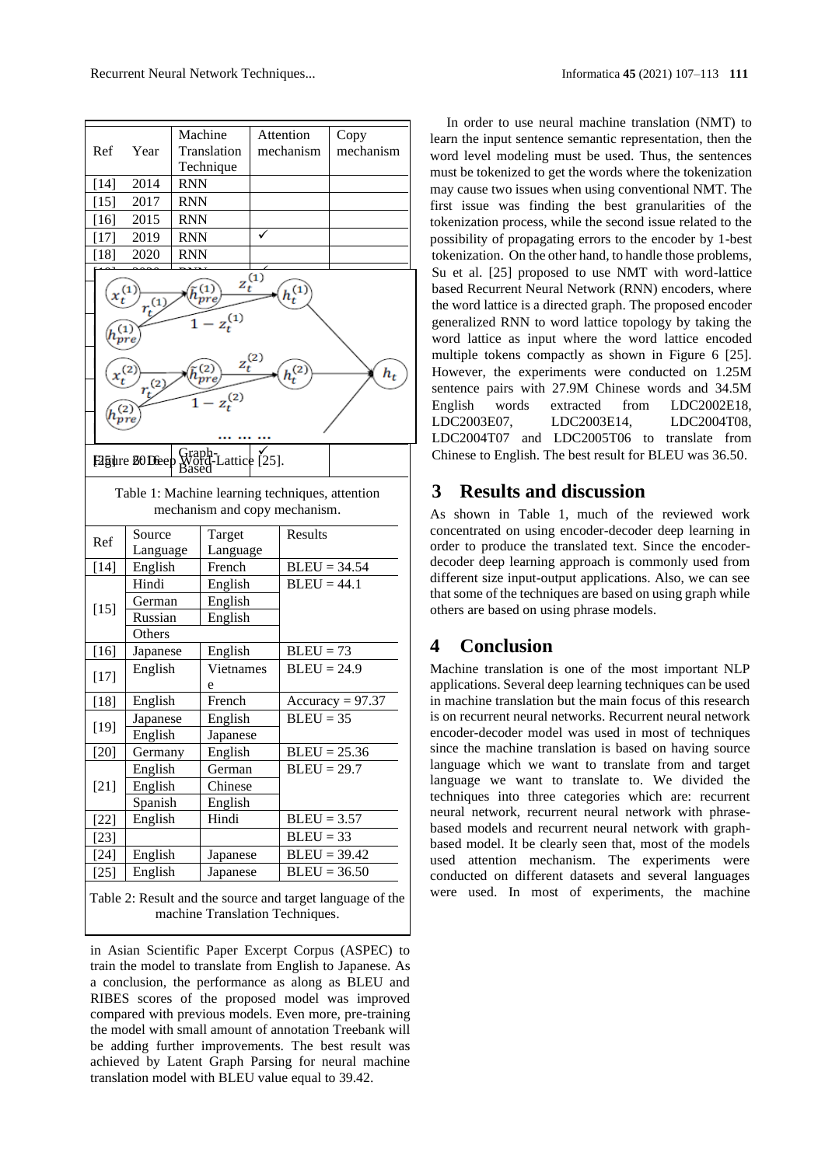| Ref                    |                   |                                                 |             |                |                    |
|------------------------|-------------------|-------------------------------------------------|-------------|----------------|--------------------|
|                        | Year              | Machine<br>Translation                          | Attention   | mechanism      | Copy<br>mechanism  |
|                        |                   | Technique                                       |             |                |                    |
| $[14]$                 | 2014              | <b>RNN</b>                                      |             |                |                    |
| $[15]$                 | 2017              | <b>RNN</b>                                      |             |                |                    |
| $[16]$                 | 2015              | RNN                                             |             |                |                    |
|                        |                   |                                                 |             |                |                    |
| $[17]$                 | 2019              | <b>RNN</b>                                      |             |                |                    |
| $[18]$                 | 2020              | RNN                                             |             |                |                    |
| $\mathfrak{c}_t^{(1)}$ | $r_t^{(1)}$       | $\mathbf{1}$<br>$z_t^{(1)}$                     | $z_t^{(1)}$ | $h_t^{(1)}$    |                    |
|                        |                   |                                                 |             |                |                    |
| $x_t^{(2)}$            |                   |                                                 | $z_t^{(2)}$ | $h_t^{(2)}$    | $h_t$              |
|                        | $\left( 2\right)$ |                                                 |             |                |                    |
|                        |                   | $z_t^{(2)}$                                     |             |                |                    |
|                        |                   |                                                 |             |                |                    |
|                        |                   |                                                 |             |                |                    |
|                        |                   | Fagure 80 Deep Graph-Lattice [25].              |             |                |                    |
|                        |                   | Table 1: Machine learning techniques, attention |             |                |                    |
|                        |                   | mechanism and copy mechanism.                   |             |                |                    |
|                        | Source            |                                                 | Target      |                |                    |
|                        |                   |                                                 |             | Results        |                    |
| Ref                    | Language          | Language                                        |             |                |                    |
| $[14]$                 | English           | French                                          |             | $BLEU = 34.54$ |                    |
|                        | Hindi             | English                                         |             | $BLEU = 44.1$  |                    |
|                        | German            | English                                         |             |                |                    |
| $[15]$                 | Russian           | English                                         |             |                |                    |
|                        | Others            |                                                 |             |                |                    |
| $[16]$                 | Japanese          | English                                         |             | $BLEU = 73$    |                    |
|                        | English           | Vietnames                                       |             | $BLEU = 24.9$  |                    |
| $[17]$                 |                   | e                                               |             |                |                    |
| $[18]$                 | English           | French                                          |             |                | Accuracy = $97.37$ |
|                        | Japanese          | English                                         |             | $BLEU = 35$    |                    |
| $[19]$                 | English           | Japanese                                        |             |                |                    |
| $[20]$                 | Germany           | English                                         |             | $BLEU = 25.36$ |                    |
|                        | English           | German                                          |             | $BLEU = 29.7$  |                    |
| $[21]$                 | English           | Chinese                                         |             |                |                    |
|                        | Spanish           | English                                         |             |                |                    |
| $[22]$                 | English           | Hindi                                           |             | $BLEU = 3.57$  |                    |
| $[23]$                 |                   |                                                 |             | $BLEU = 33$    |                    |
| $[24]$                 | English           | Japanese                                        |             | $BLEU = 39.42$ |                    |
| $[25]$                 | English           | Japanese                                        |             | $BLEU = 36.50$ |                    |

Ind the source and target language of the machine Translation Techniques.

in Asian Scientific Paper Excerpt Corpus (ASPEC) to train the model to translate from English to Japanese. As a conclusion, the performance as along as BLEU and RIBES scores of the proposed model was improved compared with previous models. Even more, pre-training the model with small amount of annotation Treebank will be adding further improvements. The best result was achieved by Latent Graph Parsing for neural machine translation model with BLEU value equal to 39.42.

In order to use neural machine translation (NMT) to learn the input sentence semantic representation, then the word level modeling must be used. Thus, the sentences must be tokenized to get the words where the tokenization may cause two issues when using conventional NMT. The first issue was finding the best granularities of the tokenization process, while the second issue related to the possibility of propagating errors to the encoder by 1-best tokenization. On the other hand, to handle those problems, Su et al. [25] proposed to use NMT with word-lattice based Recurrent Neural Network (RNN) encoders, where the word lattice is a directed graph. The proposed encoder generalized RNN to word lattice topology by taking the word lattice as input where the word lattice encoded multiple tokens compactly as shown in Figure 6 [25]. However, the experiments were conducted on 1.25M sentence pairs with 27.9M Chinese words and 34.5M English words extracted from LDC2002E18, LDC2003E07, LDC2003E14, LDC2004T08, LDC2004T07 and LDC2005T06 to translate from Chinese to English. The best result for BLEU was 36.50.

## **3 Results and discussion**

As shown in Table 1, much of the reviewed work concentrated on using encoder-decoder deep learning in order to produce the translated text. Since the encoderdecoder deep learning approach is commonly used from different size input-output applications. Also, we can see that some of the techniques are based on using graph while others are based on using phrase models.

# **4 Conclusion**

Machine translation is one of the most important NLP applications. Several deep learning techniques can be used in machine translation but the main focus of this research is on recurrent neural networks. Recurrent neural network encoder-decoder model was used in most of techniques since the machine translation is based on having source language which we want to translate from and target language we want to translate to. We divided the techniques into three categories which are: recurrent neural network, recurrent neural network with phrasebased models and recurrent neural network with graphbased model. It be clearly seen that, most of the models used attention mechanism. The experiments were conducted on different datasets and several languages were used. In most of experiments, the machine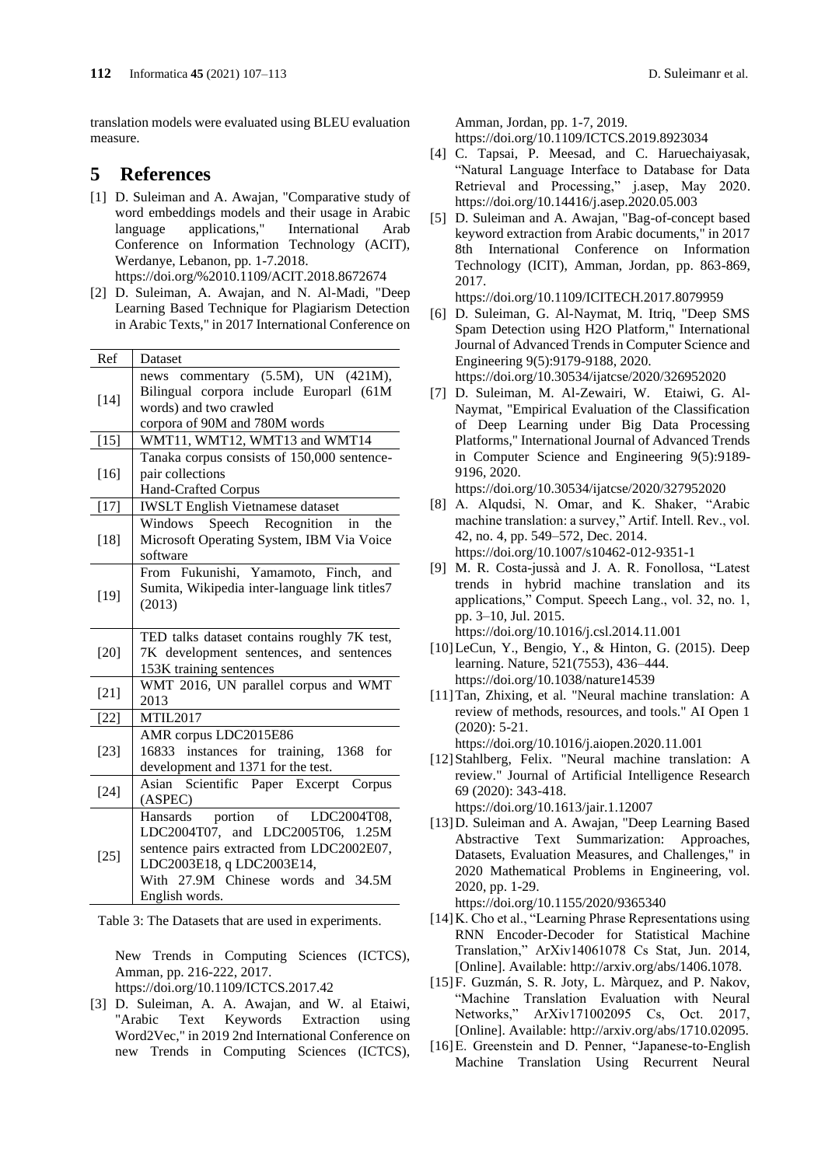translation models were evaluated using BLEU evaluation measure.

### **5 References**

- [1] D. Suleiman and A. Awajan, "Comparative study of word embeddings models and their usage in Arabic language applications," International Arab Conference on Information Technology (ACIT), Werdanye, Lebanon, pp. 1-7.2018. <https://doi.org/%2010.1109/ACIT.2018.8672674>
- [2] D. Suleiman, A. Awajan, and N. Al-Madi, "Deep Learning Based Technique for Plagiarism Detection in Arabic Texts," in 2017 International Conference on

| Ref    | Dataset                                                                                                                                           |
|--------|---------------------------------------------------------------------------------------------------------------------------------------------------|
| $[14]$ | commentary $(5.5M)$ , UN $(421M)$ ,<br>news<br>Bilingual corpora include Europarl (61M<br>words) and two crawled<br>corpora of 90M and 780M words |
| $[15]$ | WMT11, WMT12, WMT13 and WMT14                                                                                                                     |
| $[16]$ | Tanaka corpus consists of 150,000 sentence-<br>pair collections<br>Hand-Crafted Corpus                                                            |
| $[17]$ | <b>IWSLT</b> English Vietnamese dataset                                                                                                           |
| $[18]$ | Windows Speech Recognition in<br>the<br>Microsoft Operating System, IBM Via Voice<br>software                                                     |
| $[19]$ | From Fukunishi, Yamamoto, Finch, and<br>Sumita, Wikipedia inter-language link titles7<br>(2013)                                                   |
|        |                                                                                                                                                   |
| $[20]$ | TED talks dataset contains roughly 7K test,<br>7K development sentences, and sentences<br>153K training sentences                                 |
| $[21]$ | WMT 2016, UN parallel corpus and WMT<br>2013                                                                                                      |
| $[22]$ | <b>MTIL2017</b>                                                                                                                                   |
| $[23]$ | AMR corpus LDC2015E86<br>16833 instances for training, 1368 for<br>development and 1371 for the test.                                             |
| $[24]$ | Scientific Paper Excerpt Corpus<br>Asian<br>(ASPEC)<br>portion of LDC2004T08,                                                                     |

Table 3: The Datasets that are used in experiments.

New Trends in Computing Sciences (ICTCS), Amman, pp. 216-222, 2017. <https://doi.org/10.1109/ICTCS.2017.42>

[3] D. Suleiman, A. A. Awajan, and W. al Etaiwi, "Arabic Text Keywords Extraction using Word2Vec," in 2019 2nd International Conference on new Trends in Computing Sciences (ICTCS), Amman, Jordan, pp. 1-7, 2019.

https://doi.org/10.1109/ICTCS.2019.8923034

- [4] C. Tapsai, P. Meesad, and C. Haruechaiyasak, "Natural Language Interface to Database for Data Retrieval and Processing," j.asep, May 2020. https://doi.org/10.14416/j.asep.2020.05.003
- [5] D. Suleiman and A. Awajan, "Bag-of-concept based keyword extraction from Arabic documents," in 2017 8th International Conference on Information Technology (ICIT), Amman, Jordan, pp. 863-869, 2017.

https://doi.org/10.1109/ICITECH.2017.8079959

- [6] D. Suleiman, G. Al-Naymat, M. Itriq, "Deep SMS Spam Detection using H2O Platform," International Journal of Advanced Trends in Computer Science and Engineering 9(5):9179-9188, 2020. https://doi.org/10.30534/ijatcse/2020/326952020
- [7] D. Suleiman, M. Al-Zewairi, W. Etaiwi, G. Al-Naymat, "Empirical Evaluation of the Classification of Deep Learning under Big Data Processing Platforms," International Journal of Advanced Trends in Computer Science and Engineering 9(5):9189- 9196, 2020.
- https://doi.org/10.30534/ijatcse/2020/327952020 [8] A. Alqudsi, N. Omar, and K. Shaker, "Arabic machine translation: a survey," Artif. Intell. Rev., vol. 42, no. 4, pp. 549–572, Dec. 2014. https://doi.org/10.1007/s10462-012-9351-1
- [9] M. R. Costa-jussà and J. A. R. Fonollosa, "Latest trends in hybrid machine translation and its applications," Comput. Speech Lang., vol. 32, no. 1, pp. 3–10, Jul. 2015. https://doi.org/10.1016/j.csl.2014.11.001
- [10]LeCun, Y., Bengio, Y., & Hinton, G. (2015). Deep learning. Nature, 521(7553), 436–444. https://doi.org/10.1038/nature14539
- [11]Tan, Zhixing, et al. "Neural machine translation: A review of methods, resources, and tools." AI Open 1 (2020): 5-21. https://doi.org/10.1016/j.aiopen.2020.11.001
- [12]Stahlberg, Felix. "Neural machine translation: A review." Journal of Artificial Intelligence Research 69 (2020): 343-418. https://doi.org/10.1613/jair.1.12007
- [13]D. Suleiman and A. Awajan, "Deep Learning Based Abstractive Text Summarization: Approaches, Datasets, Evaluation Measures, and Challenges," in 2020 Mathematical Problems in Engineering, vol. 2020, pp. 1-29.

https://doi.org/10.1155/2020/9365340

- [14]K. Cho et al., "Learning Phrase Representations using RNN Encoder-Decoder for Statistical Machine Translation," ArXiv14061078 Cs Stat, Jun. 2014, [Online]. Available: http://arxiv.org/abs/1406.1078.
- [15]F. Guzmán, S. R. Joty, L. Màrquez, and P. Nakov, "Machine Translation Evaluation with Neural Networks," ArXiv171002095 Cs, Oct. 2017, [Online]. Available: http://arxiv.org/abs/1710.02095.
- [16] E. Greenstein and D. Penner, "Japanese-to-English Machine Translation Using Recurrent Neural